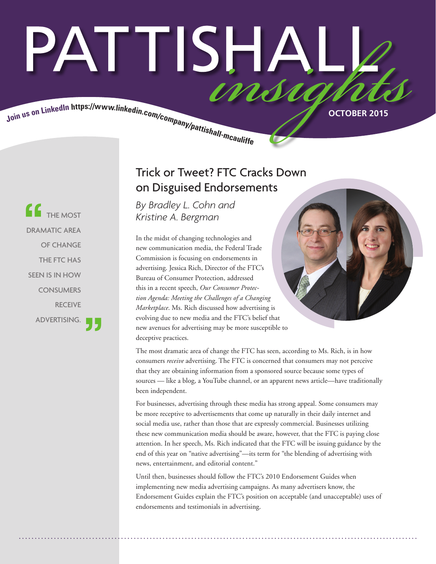# PATTISHAL Join us on LinkedIn https://www.linkedin.com/company/pattishall-mcautist.

**CE** THE MOST DRAMATIC AREA OF CHANGE THE FTC HAS SEEN IS IN HOW **CONSUMERS** RECEIVE ADVERTISING.

# Trick or Tweet? FTC Cracks Down on Disguised Endorsements

*By [Bradley L. Cohn](http://www.pattishall.com/ourteam/BradleyLCohn-103.aspx) and [Kristine A. Bergman](http://www.pattishall.com/ourteam/KristineABergman-213.aspx)*

In the midst of changing technologies and new communication media, the Federal Trade Commission is focusing on endorsements in advertising. Jessica Rich, Director of the FTC's Bureau of Consumer Protection, addressed this in a recent speech, *Our Consumer Protection Agenda: Meeting the Challenges of a Changing Marketplace*. Ms. Rich discussed how advertising is evolving due to new media and the FTC's belief that new avenues for advertising may be more susceptible to deceptive practices.

The most dramatic area of change the FTC has seen, according to Ms. Rich, is in how consumers *receive* advertising. The FTC is concerned that consumers may not perceive that they are obtaining information from a sponsored source because some types of sources — like a blog, a YouTube channel, or an apparent news article—have traditionally been independent.

For businesses, advertising through these media has strong appeal. Some consumers may be more receptive to advertisements that come up naturally in their daily internet and social media use, rather than those that are expressly commercial. Businesses utilizing these new communication media should be aware, however, that the FTC is paying close attention. In her speech, Ms. Rich indicated that the FTC will be issuing guidance by the end of this year on "native advertising"—its term for "the blending of advertising with news, entertainment, and editorial content."

Until then, businesses should follow the FTC's 2010 Endorsement Guides when implementing new media advertising campaigns. As many advertisers know, the Endorsement Guides explain the FTC's position on acceptable (and unacceptable) uses of endorsements and testimonials in advertising.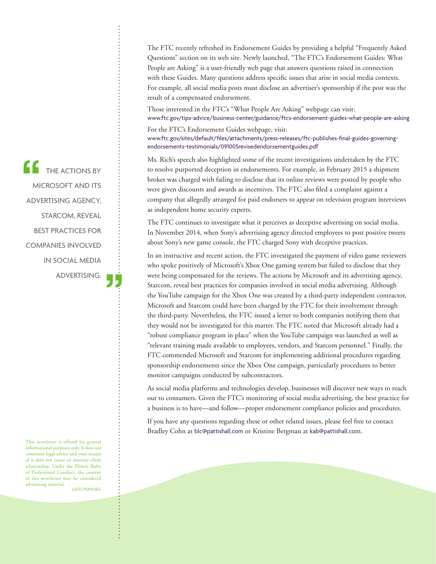The FTC recently refreshed its Endorsement Guides by providing a helpful "Frequently Asked Questions" section on its web site. Newly launched, "The FTC's Endorsement Guides: What People are Asking" is a user-friendly web page that answers questions raised in connection with these Guides. Many questions address specific issues that arise in social media contexts. For example, all social media posts must disclose an advertiser's sponsorship if the post was the result of a compensated endorsement.

Those interested in the FTC's "What People Are Asking" webpage can visit: [www.ftc.gov/tips-advice/business-center/guidance/ftcs-endorsement-guides-what-people-are-asking](https://www.ftc.gov/tips-advice/business-center/guidance/ftcs-endorsement-guides-what-people-are-asking)

For the FTC's Endorsement Guides webpage, visit: [www.ftc.gov/sites/default/files/attachments/press-releases/ftc-publishes-final-guides-governing](https://www.ftc.gov/sites/default/files/attachments/press-releases/ftc-publishes-final-guides-governing-endorsements-testimonials/091005revisedendorsementguides.pdf)endorsements-testimonials/091005revisedendorsementguides.pdf

Ms. Rich's speech also highlighted some of the recent investigations undertaken by the FTC to resolve purported deception in endorsements. For example, in February 2015 a shipment broker was charged with failing to disclose that its online reviews were posted by people who were given discounts and awards as incentives. The FTC also filed a complaint against a company that allegedly arranged for paid endorsers to appear on television program interviews as independent home security experts.

The FTC continues to investigate what it perceives as deceptive advertising on social media. In November 2014, when Sony's advertising agency directed employees to post positive tweets about Sony's new game console, the FTC charged Sony with deceptive practices.

In an instructive and recent action, the FTC investigated the payment of video game reviewers who spoke positively of Microsoft's Xbox One gaming system but failed to disclose that they were being compensated for the reviews. The actions by Microsoft and its advertising agency, Starcom, reveal best practices for companies involved in social media advertising. Although the YouTube campaign for the Xbox One was created by a third-party independent contractor, Microsoft and Starcom could have been charged by the FTC for their involvement through the third-party. Nevertheless, the FTC issued a letter to both companies notifying them that they would not be investigated for this matter. The FTC noted that Microsoft already had a "robust compliance program in place" when the YouTube campaign was launched as well as "relevant training made available to employees, vendors, and Starcom personnel." Finally, the FTC commended Microsoft and Starcom for implementing additional procedures regarding sponsorship endorsements since the Xbox One campaign, particularly procedures to better monitor campaigns conducted by subcontractors.

As social media platforms and technologies develop, businesses will discover new ways to reach out to consumers. Given the FTC's monitoring of social media advertising, the best practice for a business is to have—and follow—proper endorsement compliance policies and procedures.

If you have any questions regarding these or other related issues, please feel free to contact Bradley Cohn at blc@pattishall.com or Kristine Bergman at kab@pattishall.com.

**CONTREACTIONS BY** MICROSOFT AND ITS ADVERTISING AGENCY, STARCOM, REVEAL BEST PRACTICES FOR COMPANIES INVOLVED IN SOCIAL MEDIA ADVERTISING.

This newsletter is offered for general informational purposes only. It does not constitute legal advice and your receipt of it does not create an attorney-client relationship. Under the Illinois Rules of Professional Conduct, the content of this newsletter may be considered advertising material. ©2015 PMNH&G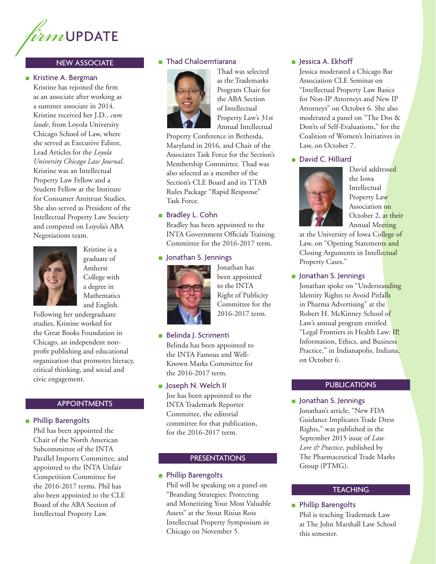

### NEW ASSOCIATE

### ■ Kristine A. Bergman

Kristine has rejoined the firm as an associate after working as a summer associate in 2014. Kristine received her J.D., *cum laude*, from Loyola University Chicago School of Law, where she served as Executive Editor, Lead Articles for the *Loyola University Chicago Law Journal*. Kristine was an Intellectual Property Law Fellow and a Student Fellow at the Institute for Consumer Antitrust Studies. She also served as President of the Intellectual Property Law Society and competed on Loyola's ABA Negotiations team.



Kristine is a graduate of Amherst College with a degree in Mathematics and English.

Following her undergraduate studies, Kristine worked for the Great Books Foundation in Chicago, an independent nonprofit publishing and educational organization that promotes literacy, critical thinking, and social and civic engagement.

### ■ Phillip Barengolts

Phil has been appointed the Chair of the North American Subcommittee of the INTA Parallel Imports Committee, and appointed to the INTA Unfair Competition Committee for the 2016-2017 terms. Phil has also been appointed to the CLE Board of the ABA Section of Intellectual Property Law.

### ■ Thad Chaloemtiarana



Thad was selected as the Trademarks Program Chair for the ABA Section of Intellectual Property Law's 31st Annual Intellectual

Property Conference in Bethesda, Maryland in 2016, and Chair of the Associates Task Force for the Section's Membership Committee. Thad was also selected as a member of the Section's CLE Board and its TTAB Rules Package "Rapid Response" Task Force.

### ■ Bradley L. Cohn

Bradley has been appointed to the INTA Government Officials Training Committee for the 2016-2017 term.

### ■ Jonathan S. Jennings



Jonathan has been appointed to the INTA Right of Publicity Committee for the 2016-2017 term.

### ■ Belinda J. Scrimenti

Belinda has been appointed to the INTA Famous and Well-Known Marks Committee for the 2016-2017 term.

### ■ Joseph N. Welch II

Joe has been appointed to the **APPOINTMENTS** TO TRADEMARK Reporter **APPOINTMENTS** INTA Trademark Reporter Committee, the editorial committee for that publication, for the 2016-2017 term.

### PRESENTATIONS

### ■ Phillip Barengolts

Phil will be speaking on a panel on "Branding Strategies: Protecting and Monetizing Your Most Valuable Assets" at the Stout Risius Ross Intellectual Property Symposium in Chicago on November 5.

### ■ Jessica A. Ekhoff

Jessica moderated a Chicago Bar Association CLE Seminar on "Intellectual Property Law Basics for Non-IP Attorneys and New IP Attorneys" on October 6. She also moderated a panel on "The Dos & Don'ts of Self-Evaluations," for the Coalition of Women's Initiatives in Law, on October 7.

### ■ David C. Hilliard



David addressed the Iowa Intellectual Property Law Association on October 2, at their Annual Meeting

at the University of Iowa College of Law, on "Opening Statements and Closing Arguments in Intellectual Property Cases."

### ■ Jonathan S. Jennings

Jonathan spoke on "Understanding Identity Rights to Avoid Pitfalls in Pharma Advertising" at the Robert H. McKinney School of Law's annual program entitled "Legal Frontiers in Health Law: IP, Information, Ethics, and Business Practice," in Indianapolis, Indiana, on October 6.

### **PUBLICATIONS**

Jonathan's article, "New FDA Guidance Implicates Trade Dress Rights," was published in the September 2015 issue of *Law Lore & Practice*, published by The Pharmaceutical Trade Marks Group (PTMG).

### **TEACHING**

### ■ Phillip Barengolts

Phil is teaching Trademark Law at The John Marshall Law School this semester.